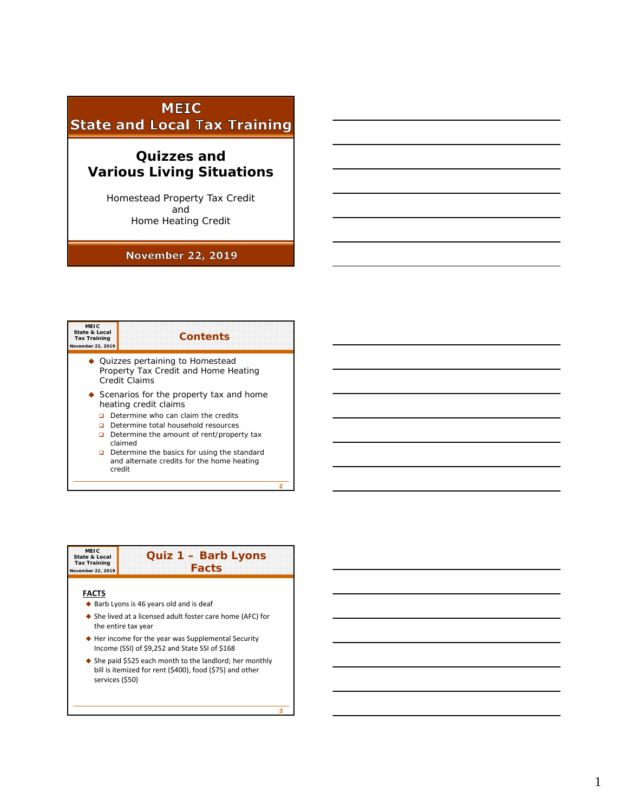## **MEIC State and Local Tax Training**

# **Quizzes and Various Living Situations**

Homestead Property Tax Credit and Home Heating Credit

## **November 22, 2019**

### **MEIC State & Local Tax Training November 22, 2019 Contents** Quizzes pertaining to Homestead Property Tax Credit and Home Heating Credit Claims Scenarios for the property tax and home heating credit claims  $\Box$  Determine who can claim the credits Determine total household resources Determine the amount of rent/property tax claimed Determine the basics for using the standard

and alternate credits for the home heating credit

**2**

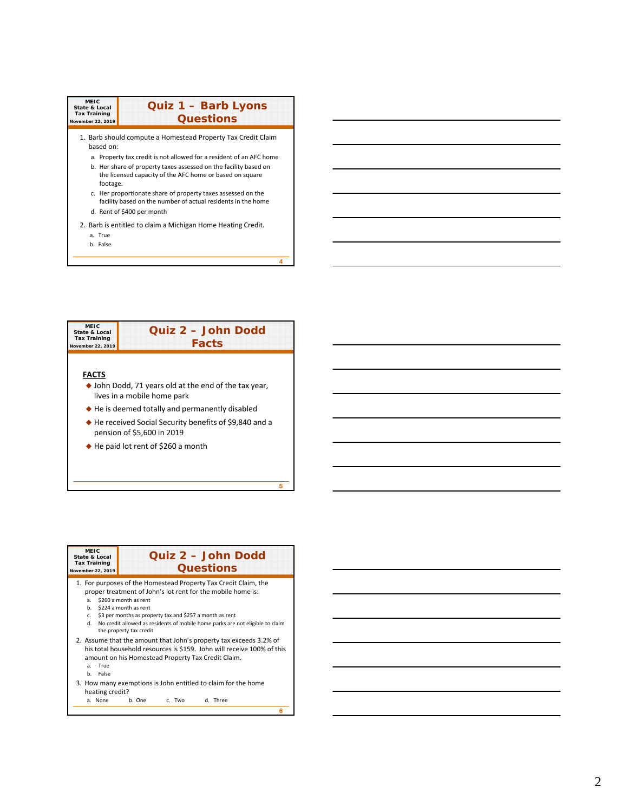| MEIC<br><b>State &amp; Local</b><br><b>Tax Training</b><br>November 22, 2019 | <b>Quiz 1 - Barb Lyons</b><br><b>Questions</b>                                                                                                             |
|------------------------------------------------------------------------------|------------------------------------------------------------------------------------------------------------------------------------------------------------|
| based on:                                                                    | 1. Barb should compute a Homestead Property Tax Credit Claim                                                                                               |
|                                                                              | a. Property tax credit is not allowed for a resident of an AFC home                                                                                        |
| footage.                                                                     | b. Her share of property taxes assessed on the facility based on<br>the licensed capacity of the AFC home or based on square                               |
|                                                                              | c. Her proportionate share of property taxes assessed on the<br>facility based on the number of actual residents in the home<br>d. Rent of \$400 per month |
| a. True                                                                      | 2. Barb is entitled to claim a Michigan Home Heating Credit.                                                                                               |
| b. False                                                                     |                                                                                                                                                            |
|                                                                              |                                                                                                                                                            |



| MEIC<br>State & Local<br><b>Tax Training</b><br>November 22, 2019 | Quiz 2 - John Dodd<br><b>Questions</b>                                                                                                                                                                                                                                                                                                                   |
|-------------------------------------------------------------------|----------------------------------------------------------------------------------------------------------------------------------------------------------------------------------------------------------------------------------------------------------------------------------------------------------------------------------------------------------|
| a.<br>b.<br>C.<br><b>H</b>                                        | 1. For purposes of the Homestead Property Tax Credit Claim, the<br>proper treatment of John's lot rent for the mobile home is:<br>\$260 a month as rent<br>\$224 a month as rent<br>\$3 per months as property tax and \$257 a month as rent<br>No credit allowed as residents of mobile home parks are not eligible to claim<br>the property tax credit |
| True<br>a.<br>False<br>h.                                         | 2. Assume that the amount that John's property tax exceeds 3.2% of<br>his total household resources is \$159. John will receive 100% of this<br>amount on his Homestead Property Tax Credit Claim.                                                                                                                                                       |
| heating credit?<br>a. None                                        | 3. How many exemptions is John entitled to claim for the home<br>b. One<br>d. Three<br>c. Two                                                                                                                                                                                                                                                            |
|                                                                   | 6                                                                                                                                                                                                                                                                                                                                                        |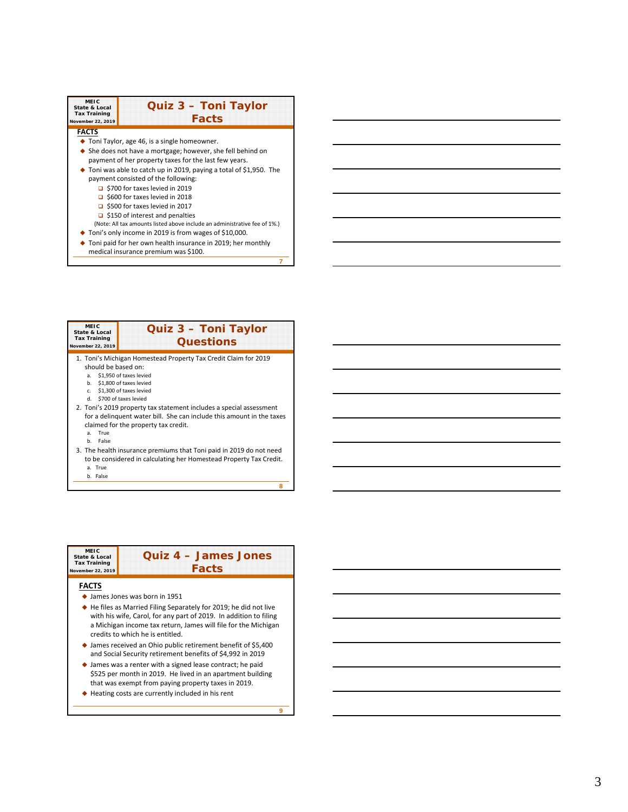| <b>MEIC</b><br>Quiz 3 - Toni Taylor<br><b>State &amp; Local</b><br><b>Tax Training</b><br><b>Facts</b><br>November 22, 2019 |                                                                                                                                |  |  |
|-----------------------------------------------------------------------------------------------------------------------------|--------------------------------------------------------------------------------------------------------------------------------|--|--|
| <b>FACTS</b>                                                                                                                |                                                                                                                                |  |  |
|                                                                                                                             | $\bullet$ Toni Taylor, age 46, is a single homeowner.                                                                          |  |  |
|                                                                                                                             | $\triangle$ She does not have a mortgage; however, she fell behind on<br>payment of her property taxes for the last few years. |  |  |
|                                                                                                                             | $\bullet$ Toni was able to catch up in 2019, paying a total of \$1,950. The                                                    |  |  |
| payment consisted of the following:                                                                                         |                                                                                                                                |  |  |
| $\Box$ \$700 for taxes levied in 2019                                                                                       |                                                                                                                                |  |  |
| $\Box$ \$600 for taxes levied in 2018                                                                                       |                                                                                                                                |  |  |
| $\Box$ \$500 for taxes levied in 2017                                                                                       |                                                                                                                                |  |  |
| $\Box$ \$150 of interest and penalties                                                                                      |                                                                                                                                |  |  |
| (Note: All tax amounts listed above include an administrative fee of 1%.)                                                   |                                                                                                                                |  |  |
| ◆ Toni's only income in 2019 is from wages of \$10,000.                                                                     |                                                                                                                                |  |  |
| Toni paid for her own health insurance in 2019; her monthly                                                                 |                                                                                                                                |  |  |

medical insurance premium was \$100.

**7**

**8**

**MEIC State & Local Tax Training November 22, 2019 Quiz 3 – Toni Taylor Questions** 1. Toni's Michigan Homestead Property Tax Credit Claim for 2019 should be based on: a. \$1,950 of taxes levied b. \$1,800 of taxes levied c. \$1,300 of taxes levied d. \$700 of taxes levied 2. Toni's 2019 property tax statement includes a special assessment for a delinquent water bill. She can include this amount in the taxes claimed for the property tax credit. a. True b. False 3. The health insurance premiums that Toni paid in 2019 do not need to be considered in calculating her Homestead Property Tax Credit. a. True b. False

| <b>MEIC</b><br>State & Local<br><b>Tax Training</b><br>November 22, 2019 | Quiz 4 - James Jones<br><b>Facts</b>                                                                                                                                                                                                         |
|--------------------------------------------------------------------------|----------------------------------------------------------------------------------------------------------------------------------------------------------------------------------------------------------------------------------------------|
| <b>FACTS</b>                                                             |                                                                                                                                                                                                                                              |
|                                                                          | $\bullet$ James Jones was born in 1951                                                                                                                                                                                                       |
|                                                                          | ◆ He files as Married Filing Separately for 2019; he did not live<br>with his wife, Carol, for any part of 2019. In addition to filing<br>a Michigan income tax return, James will file for the Michigan<br>credits to which he is entitled. |
|                                                                          | $\blacklozenge$ James received an Ohio public retirement benefit of \$5,400<br>and Social Security retirement benefits of \$4,992 in 2019                                                                                                    |
|                                                                          | ♦ James was a renter with a signed lease contract; he paid<br>\$525 per month in 2019. He lived in an apartment building<br>that was exempt from paying property taxes in 2019.                                                              |
|                                                                          | $\blacklozenge$ Heating costs are currently included in his rent                                                                                                                                                                             |
|                                                                          | ۵                                                                                                                                                                                                                                            |

I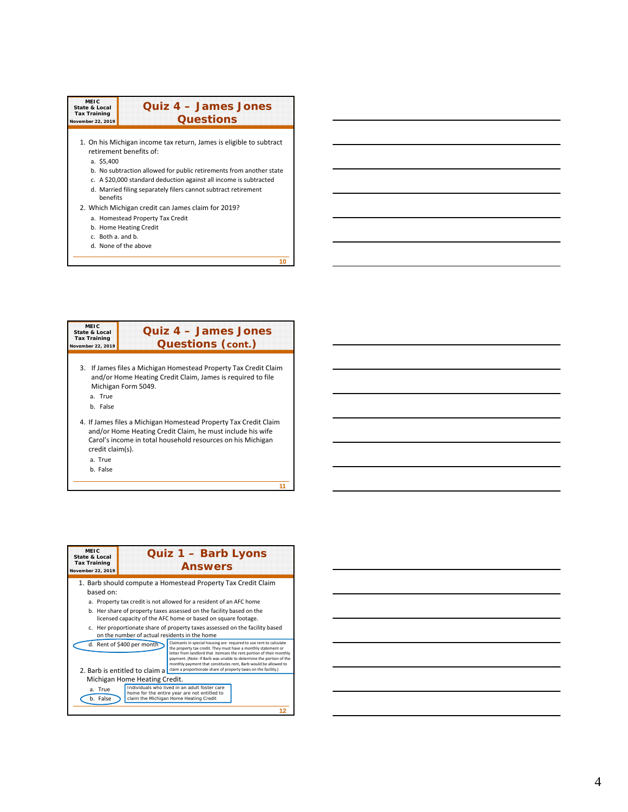| <b>MEIC</b><br><b>State &amp; Local</b><br><b>Tax Training</b><br>November 22, 2019 | Quiz 4 - James Jones<br><b>Questions</b>                                                                                                                                                                                                                                                                     |
|-------------------------------------------------------------------------------------|--------------------------------------------------------------------------------------------------------------------------------------------------------------------------------------------------------------------------------------------------------------------------------------------------------------|
| a. \$5,400<br>henefits                                                              | 1. On his Michigan income tax return, James is eligible to subtract<br>retirement henefits of:<br>b. No subtraction allowed for public retirements from another state<br>c. A \$20,000 standard deduction against all income is subtracted<br>d. Married filing separately filers cannot subtract retirement |
| c. Both a, and b.                                                                   | 2. Which Michigan credit can James claim for 2019?<br>a. Homestead Property Tax Credit<br>b. Home Heating Credit<br>d. None of the above                                                                                                                                                                     |

#### **MEIC State & Local Tax Training November 22, 2019 Quiz 4 – James Jones Questions (cont. )** 3. If James files a Michigan Homestead Property Tax Credit Claim and/or Home Heating Credit Claim, James is required to file Michigan Form 5049. a. True b. False 4. If James files a Michigan Homestead Property Tax Credit Claim and/or Home Heating Credit Claim, he must include his wife Carol's income in total household resources on his Michigan credit claim(s). a. True b. False

**11**

**10**



| <u> 1989 - Johann Stoff, deutscher Stoffen und der Stoffen und der Stoffen und der Stoffen und der Stoffen und der</u> |  |  |
|------------------------------------------------------------------------------------------------------------------------|--|--|
| <u> 1989 - Johann Stoff, deutscher Stoff, der Stoff, der Stoff, der Stoff, der Stoff, der Stoff, der Stoff, der S</u>  |  |  |
| <u> 1989 - Andrea Andrew Maria (h. 1989).</u>                                                                          |  |  |
|                                                                                                                        |  |  |
|                                                                                                                        |  |  |
| <u> 1989 - Johann Barn, amerikan bernama di sebagai bernama dan bernama di sebagai bernama dalam bernama dalam b</u>   |  |  |
|                                                                                                                        |  |  |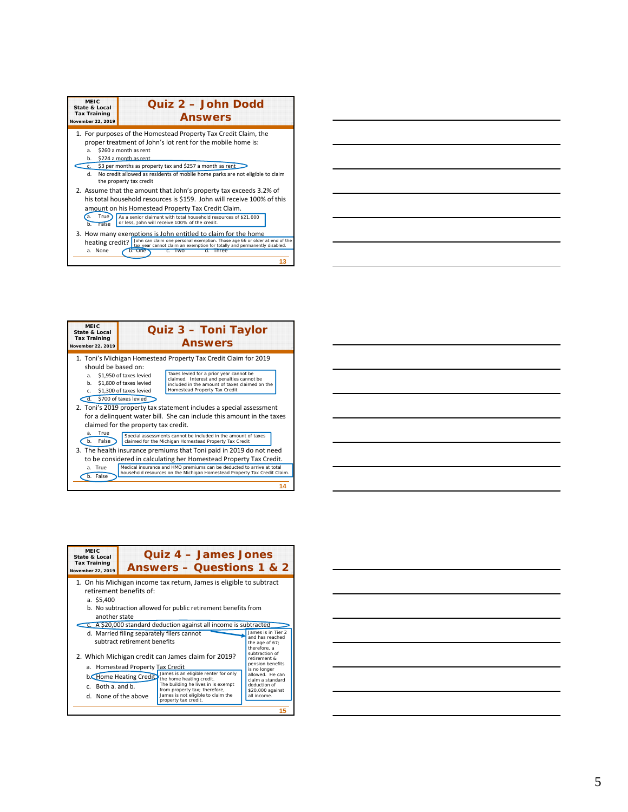| <b>MEIC</b><br>State & Local<br><b>Tax Training</b><br>November 22, 2019 | Quiz 2 - John Dodd<br><b>Answers</b>                                                                                                                                                                                                                                                                                             |  |  |  |
|--------------------------------------------------------------------------|----------------------------------------------------------------------------------------------------------------------------------------------------------------------------------------------------------------------------------------------------------------------------------------------------------------------------------|--|--|--|
| a.<br>h.<br>d.                                                           | 1. For purposes of the Homestead Property Tax Credit Claim, the<br>proper treatment of John's lot rent for the mobile home is:<br>\$260 a month as rent<br>\$224 a month as rent<br>c. \$3 per months as property tax and \$257 a month as rent<br>No credit allowed as residents of mobile home parks are not eligible to claim |  |  |  |
| <b>True</b><br>a.                                                        | the property tax credit<br>2. Assume that the amount that John's property tax exceeds 3.2% of<br>his total household resources is \$159. John will receive 100% of this<br>amount on his Homestead Property Tax Credit Claim.<br>As a senior claimant with total household resources of \$21,000                                 |  |  |  |
| False<br>h<br>heating credit?<br>a. None                                 | or less, John will receive 100% of the credit.<br>3. How many exemptions is John entitled to claim for the home<br>John can claim one personal exemption. Those age 66 or older at end of the tax year cannot claim an exemption for totally and permanently disabled.<br>b. One<br>IWO<br>$\sigma$ .<br><b>Three</b>            |  |  |  |



| <b>MEIC</b><br>State & Local<br><b>Tax Training</b><br>November 22, 2019                                | Quiz 3 - Toni Taylor<br><b>Answers</b>                                                                                                         |                                                                                                                                                                                                                                                                                                                                                                                                                                                                                                                                                                                                                                                                    |  |  |
|---------------------------------------------------------------------------------------------------------|------------------------------------------------------------------------------------------------------------------------------------------------|--------------------------------------------------------------------------------------------------------------------------------------------------------------------------------------------------------------------------------------------------------------------------------------------------------------------------------------------------------------------------------------------------------------------------------------------------------------------------------------------------------------------------------------------------------------------------------------------------------------------------------------------------------------------|--|--|
| should be based on:<br>a.<br>h.<br>$C_{n}$<br>$\overline{d}$ .<br>True<br>a <sub>z</sub><br>b.<br>False | \$1,950 of taxes levied<br>\$1,800 of taxes levied<br>\$1,300 of taxes levied<br>\$700 of taxes levied<br>claimed for the property tax credit. | 1. Toni's Michigan Homestead Property Tax Credit Claim for 2019<br>Taxes levied for a prior year cannot be<br>claimed. Interest and penalties cannot be<br>included in the amount of taxes claimed on the<br>Homestead Property Tax Credit<br>2. Toni's 2019 property tax statement includes a special assessment<br>for a delinguent water bill. She can include this amount in the taxes<br>Special assessments cannot be included in the amount of taxes<br>claimed for the Michigan Homestead Property Tax Credit<br>3. The health insurance premiums that Toni paid in 2019 do not need<br>to be considered in calculating her Homestead Property Tax Credit. |  |  |
| a. True<br>b. False                                                                                     |                                                                                                                                                | Medical insurance and HMO premiums can be deducted to arrive at total<br>household resources on the Michigan Homestead Property Tax Credit Claim.                                                                                                                                                                                                                                                                                                                                                                                                                                                                                                                  |  |  |
|                                                                                                         |                                                                                                                                                |                                                                                                                                                                                                                                                                                                                                                                                                                                                                                                                                                                                                                                                                    |  |  |

| 1. On his Michigan income tax return, James is eligible to subtract<br>retirement benefits of:<br>a. \$5,400<br>b. No subtraction allowed for public retirement benefits from<br>another state<br>C. A \$20,000 standard deduction against all income is subtracted<br>James is in Tier 2<br>d. Married filing separately filers cannot<br>and has reached<br>subtract retirement benefits<br>the age of 67;<br>therefore, a<br>subtraction of<br>2. Which Michigan credit can James claim for 2019?<br>retirement &<br>pension benefits<br>a. Homestead Property Tax Credit<br>is no longer<br>James is an eligible renter for only<br>allowed. He can<br><b>b.</b> Home Heating Credit<br>the home heating credit.<br>claim a standard<br>The building he lives in is exempt<br>deduction of<br>c. Both a. and b.<br>from property tax; therefore,<br>\$20,000 against<br>James is not eligible to claim the<br>all income.<br>d. None of the above<br>property tax credit. | <b>MEIC</b><br>State & Local<br><b>Tax Training</b><br>November 22, 2019 | <b>Ouiz 4 – James Jones</b><br><b>Answers – Questions 1 &amp; 2</b> |  |
|-------------------------------------------------------------------------------------------------------------------------------------------------------------------------------------------------------------------------------------------------------------------------------------------------------------------------------------------------------------------------------------------------------------------------------------------------------------------------------------------------------------------------------------------------------------------------------------------------------------------------------------------------------------------------------------------------------------------------------------------------------------------------------------------------------------------------------------------------------------------------------------------------------------------------------------------------------------------------------|--------------------------------------------------------------------------|---------------------------------------------------------------------|--|
|                                                                                                                                                                                                                                                                                                                                                                                                                                                                                                                                                                                                                                                                                                                                                                                                                                                                                                                                                                               |                                                                          |                                                                     |  |
|                                                                                                                                                                                                                                                                                                                                                                                                                                                                                                                                                                                                                                                                                                                                                                                                                                                                                                                                                                               |                                                                          |                                                                     |  |
|                                                                                                                                                                                                                                                                                                                                                                                                                                                                                                                                                                                                                                                                                                                                                                                                                                                                                                                                                                               |                                                                          |                                                                     |  |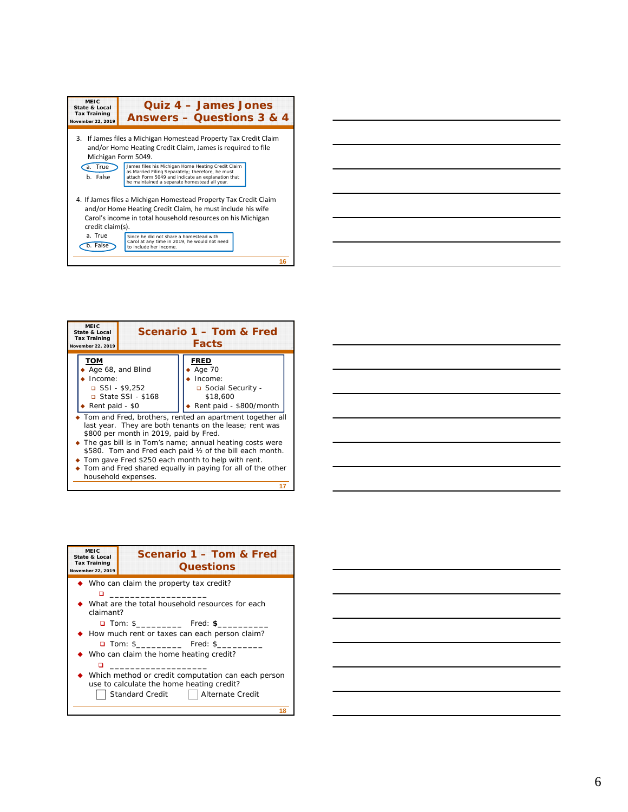| MEIC<br>State & Local<br><b>Tax Training</b><br>November 22, 2019 | Quiz 4 - James Jones<br><b>Answers - Questions 3 &amp; 4</b>                                                                                                                                                |
|-------------------------------------------------------------------|-------------------------------------------------------------------------------------------------------------------------------------------------------------------------------------------------------------|
| 3.                                                                | If James files a Michigan Homestead Property Tax Credit Claim<br>and/or Home Heating Credit Claim, James is required to file<br>Michigan Form 5049.                                                         |
| a. True<br>b. False                                               | James files his Michigan Home Heating Credit Claim<br>as Married Filing Separately; therefore, he must<br>attach Form 5049 and indicate an explanation that<br>he maintained a separate homestead all year. |
| credit claim(s).                                                  | 4. If James files a Michigan Homestead Property Tax Credit Claim<br>and/or Home Heating Credit Claim, he must include his wife<br>Carol's income in total household resources on his Michigan               |
| a. True<br>b. False                                               | Since he did not share a homestead with<br>Carol at any time in 2019, he would not need<br>to include her income.                                                                                           |
|                                                                   |                                                                                                                                                                                                             |

| the control of the control of the control of the control of the control of the control of the control of the control of the control of the control of the control of the control of the control of the control of the control |  |  |
|-------------------------------------------------------------------------------------------------------------------------------------------------------------------------------------------------------------------------------|--|--|
|                                                                                                                                                                                                                               |  |  |

| <b>MEIC</b><br>Scenario 1 – Tom & Fred<br>State & Local<br><b>Tax Training</b><br><b>Facts</b><br>November 22, 2019 |                                        |                                                                                                                                                                                                                                                                                                                                                                   |  |
|---------------------------------------------------------------------------------------------------------------------|----------------------------------------|-------------------------------------------------------------------------------------------------------------------------------------------------------------------------------------------------------------------------------------------------------------------------------------------------------------------------------------------------------------------|--|
| том                                                                                                                 |                                        | <b>FRED</b>                                                                                                                                                                                                                                                                                                                                                       |  |
| Age 68, and Blind                                                                                                   |                                        | Age 70                                                                                                                                                                                                                                                                                                                                                            |  |
| Income:                                                                                                             |                                        | Income:                                                                                                                                                                                                                                                                                                                                                           |  |
| $SSI - $9,252$                                                                                                      |                                        | □ Social Security -                                                                                                                                                                                                                                                                                                                                               |  |
| □ State SSI - \$168                                                                                                 |                                        | \$18,600                                                                                                                                                                                                                                                                                                                                                          |  |
| Rent paid - \$800/month<br>Rent paid - \$0                                                                          |                                        |                                                                                                                                                                                                                                                                                                                                                                   |  |
| household expenses.                                                                                                 | \$800 per month in 2019, paid by Fred. | Tom and Fred, brothers, rented an apartment together all<br>last year. They are both tenants on the lease; rent was<br>The gas bill is in Tom's name; annual heating costs were<br>\$580. Tom and Fred each paid 1/2 of the bill each month.<br>Tom gave Fred \$250 each month to help with rent.<br>• Tom and Fred shared equally in paying for all of the other |  |
|                                                                                                                     |                                        |                                                                                                                                                                                                                                                                                                                                                                   |  |

| <b>MEIC</b><br>State & Local<br><b>Tax Training</b><br>November 22, 2019 | Scenario 1 - Tom & Fred<br><b>Questions</b>                                                                                                         |  |
|--------------------------------------------------------------------------|-----------------------------------------------------------------------------------------------------------------------------------------------------|--|
|                                                                          | $\blacklozenge$ Who can claim the property tax credit?                                                                                              |  |
| claimant?                                                                | $\bullet$ What are the total household resources for each                                                                                           |  |
|                                                                          |                                                                                                                                                     |  |
| ♦ How much rent or taxes can each person claim?                          |                                                                                                                                                     |  |
|                                                                          |                                                                                                                                                     |  |
|                                                                          | $\bullet$ Who can claim the home heating credit?                                                                                                    |  |
|                                                                          | ♦ Which method or credit computation can each person<br>use to calculate the home heating credit?<br><b>Standard Credit</b><br>    Alternate Credit |  |
|                                                                          |                                                                                                                                                     |  |

| <u> 1989 - Andrea Santa Andrea Andrea Andrea Andrea Andrea Andrea Andrea Andrea Andrea Andrea Andrea Andrea Andr</u>   |  |  |
|------------------------------------------------------------------------------------------------------------------------|--|--|
| <u> 1989 - Johann Barn, mars ann an t-Amhain ann an t-Amhain ann an t-Amhain ann an t-Amhain an t-Amhain ann an t-</u> |  |  |
|                                                                                                                        |  |  |
|                                                                                                                        |  |  |
| <u> 1989 - Andrea Santa Andrea Andrea Andrea Andrea Andrea Andrea Andrea Andrea Andrea Andrea Andrea Andrea Andr</u>   |  |  |
|                                                                                                                        |  |  |
| <u> 1989 - Johann Stoff, amerikansk politiker (d. 1989)</u>                                                            |  |  |
|                                                                                                                        |  |  |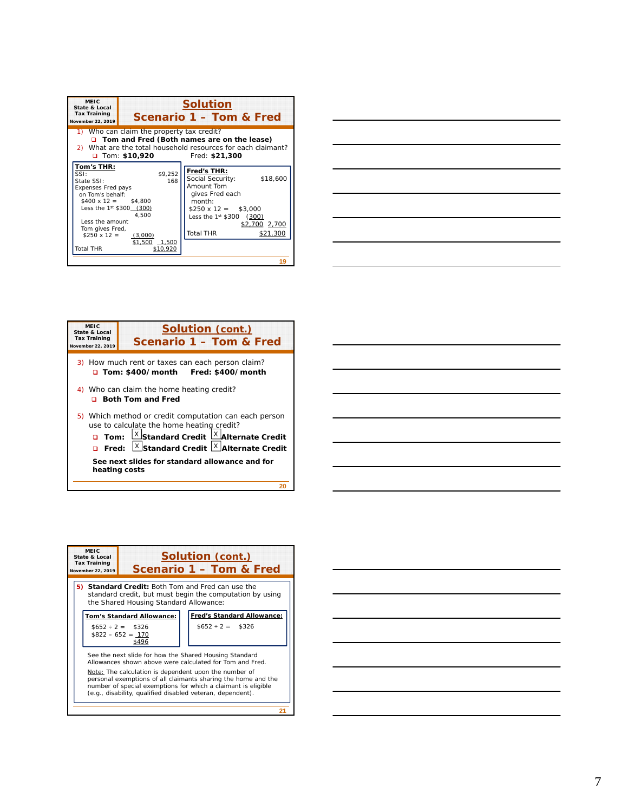| 1) Who can claim the property tax credit?<br>□ Tom and Fred (Both names are on the lease)<br>2) What are the total household resources for each claimant?<br>$\Box$ Tom: \$10,920<br>Fred: \$21,300<br>Tom's THR:<br>Fred's THR:<br>\$9.252<br>SSI:<br>\$18,600<br>Social Security:<br>168<br>State SSI:<br>Amount Tom<br>Expenses Fred pays<br>gives Fred each<br>on Tom's behalf:<br>month:<br>$$400 \times 12 = $4.800$<br>Less the 1st \$300 (300)<br>$$250 \times 12 = $3,000$<br>4.500<br>Less the $1^{st}$ \$300 (300)<br>Less the amount<br>\$2,700 2,700<br>Tom gives Fred, | Scenario 1 - Tom & Fred |
|--------------------------------------------------------------------------------------------------------------------------------------------------------------------------------------------------------------------------------------------------------------------------------------------------------------------------------------------------------------------------------------------------------------------------------------------------------------------------------------------------------------------------------------------------------------------------------------|-------------------------|
|                                                                                                                                                                                                                                                                                                                                                                                                                                                                                                                                                                                      |                         |
| <b>Total THR</b><br>$$250 \times 12 =$ (3,000)<br>\$1,500<br>1,500<br><b>Total THR</b><br>\$10,920                                                                                                                                                                                                                                                                                                                                                                                                                                                                                   | \$21.300                |



| <b>MEIC</b><br>State & Local<br><b>Tax Training</b><br>November 22, 2019 | <b>Solution (cont.)</b><br>Scenario 1 - Tom & Fred                                                 |
|--------------------------------------------------------------------------|----------------------------------------------------------------------------------------------------|
|                                                                          | 3) How much rent or taxes can each person claim?<br>Tom: \$400/month Fred: \$400/month             |
|                                                                          | 4) Who can claim the home heating credit?<br><b>D</b> Both Tom and Fred                            |
|                                                                          | 5) Which method or credit computation can each person<br>use to calculate the home heating credit? |
| $\Box$ Tom:                                                              | X Standard Credit<br>$X$ Alternate Credit                                                          |
| Fred:<br>n                                                               | $\frac{X}{X}$ Standard Credit $\frac{X}{X}$ Alternate Credit                                       |
| heating costs                                                            | See next slides for standard allowance and for                                                     |
|                                                                          |                                                                                                    |

| <b>MEIC</b><br><b>Solution (cont.)</b><br>State & Local<br><b>Tax Training</b><br>Scenario 1 - Tom & Fred<br>November 22, 2019 |                                        |                                                                                                                                                                                                                                                       |
|--------------------------------------------------------------------------------------------------------------------------------|----------------------------------------|-------------------------------------------------------------------------------------------------------------------------------------------------------------------------------------------------------------------------------------------------------|
|                                                                                                                                | the Shared Housing Standard Allowance: | 5) Standard Credit: Both Tom and Fred can use the<br>standard credit, but must begin the computation by using                                                                                                                                         |
|                                                                                                                                | Tom's Standard Allowance:              | <b>Fred's Standard Allowance:</b>                                                                                                                                                                                                                     |
| $$652 \div 2 = $326$<br>$$822 - 652 = 170$                                                                                     | \$496                                  | $$652 \div 2 = $326$                                                                                                                                                                                                                                  |
|                                                                                                                                |                                        | See the next slide for how the Shared Housing Standard<br>Allowances shown above were calculated for Tom and Fred.                                                                                                                                    |
|                                                                                                                                |                                        | Note: The calculation is dependent upon the number of<br>personal exemptions of all claimants sharing the home and the<br>number of special exemptions for which a claimant is eligible<br>(e.g., disability, qualified disabled veteran, dependent). |
|                                                                                                                                |                                        | 21                                                                                                                                                                                                                                                    |

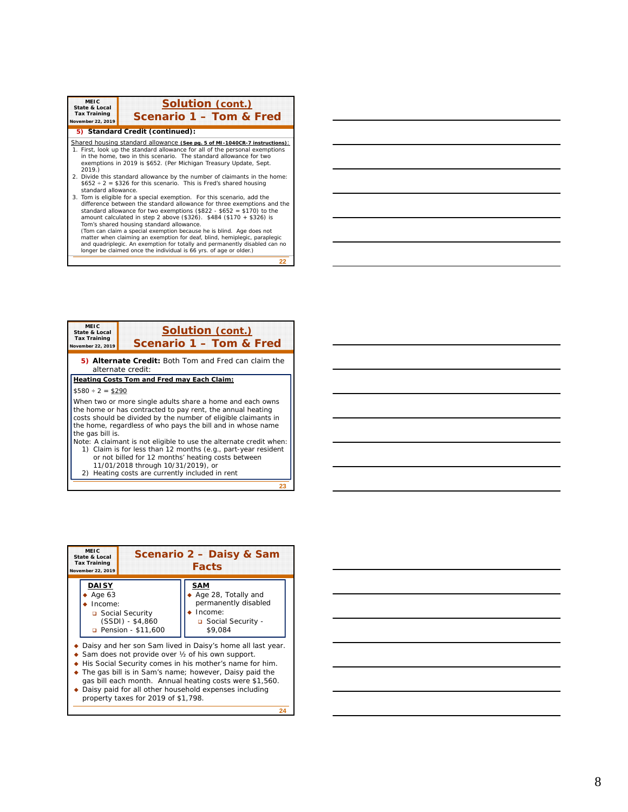| <b>MEIC</b><br><b>State &amp; Local</b><br><b>Tax Training</b><br>November 22, 2019 | <b>Solution (cont.)</b><br>Scenario 1 - Tom & Fred                                                                                                                                                                                                                                                                                                                                                                                                                                                                                                                                                                                                                                                                                                                                                                                                                                                                                                                                                                                                                                                                       |
|-------------------------------------------------------------------------------------|--------------------------------------------------------------------------------------------------------------------------------------------------------------------------------------------------------------------------------------------------------------------------------------------------------------------------------------------------------------------------------------------------------------------------------------------------------------------------------------------------------------------------------------------------------------------------------------------------------------------------------------------------------------------------------------------------------------------------------------------------------------------------------------------------------------------------------------------------------------------------------------------------------------------------------------------------------------------------------------------------------------------------------------------------------------------------------------------------------------------------|
|                                                                                     | 5) Standard Credit (continued):                                                                                                                                                                                                                                                                                                                                                                                                                                                                                                                                                                                                                                                                                                                                                                                                                                                                                                                                                                                                                                                                                          |
| 2019.<br>standard allowance.                                                        | Shared housing standard allowance (See pg. 5 of MI-1040CR-7 instructions):<br>1. First, look up the standard allowance for all of the personal exemptions<br>in the home, two in this scenario. The standard allowance for two<br>exemptions in 2019 is \$652. (Per Michigan Treasury Update, Sept.<br>2. Divide this standard allowance by the number of claimants in the home:<br>$$652 \div 2 = $326$ for this scenario. This is Fred's shared housing<br>3. Tom is eligible for a special exemption. For this scenario, add the<br>difference between the standard allowance for three exemptions and the<br>standard allowance for two exemptions (\$822 - \$652 = \$170) to the<br>amount calculated in step 2 above $(\$326)$ . $\$484$ $(\$170 + \$326)$ is<br>Tom's shared housing standard allowance.<br>(Tom can claim a special exemption because he is blind. Age does not<br>matter when claiming an exemption for deaf, blind, hemiplegic, paraplegic<br>and quadriplegic. An exemption for totally and permanently disabled can no<br>longer be claimed once the individual is 66 yrs. of age or older.) |

**22**

**23 MEIC State & Local Tax Training November 22, 2019 Solution (cont.) Scenario 1 – Tom & Fred 5) Alternate Credit:** Both Tom and Fred can claim the alternate credit: **Heating Costs Tom and Fred may Each Claim:**  $$580 \div 2 = $290$ When two or more single adults share a home and each owns the home or has contracted to pay rent, the annual heating costs should be divided by the number of eligible claimants in the home, regardless of who pays the bill and in whose name the gas bill is. Note: A claimant is not eligible to use the alternate credit when: 1) Claim is for less than 12 months (e.g., part-year resident or not billed for 12 months' heating costs between 11/01/2018 through 10/31/2019), or 2) Heating costs are currently included in rent

| MEIC.<br>Scenario 2 - Daisy & Sam<br>State & Local<br><b>Tax Training</b><br><b>Facts</b><br>November 22, 2019                                                                                                                                                                                                                              |                                                                                                        |  |
|---------------------------------------------------------------------------------------------------------------------------------------------------------------------------------------------------------------------------------------------------------------------------------------------------------------------------------------------|--------------------------------------------------------------------------------------------------------|--|
| <b>DAISY</b><br>Age 63<br>Income:<br>Social Security<br>$(SSDI) - $4,860$<br><b>D</b> Pension - \$11,600                                                                                                                                                                                                                                    | <b>SAM</b><br>Age 28, Totally and<br>permanently disabled<br>Income:<br>□ Social Security -<br>\$9.084 |  |
| Sam does not provide over $\frac{1}{2}$ of his own support.<br>His Social Security comes in his mother's name for him.<br>The gas bill is in Sam's name; however, Daisy paid the<br>gas bill each month. Annual heating costs were \$1,560.<br>Daisy paid for all other household expenses including<br>property taxes for 2019 of \$1,798. | Daisy and her son Sam lived in Daisy's home all last year.                                             |  |

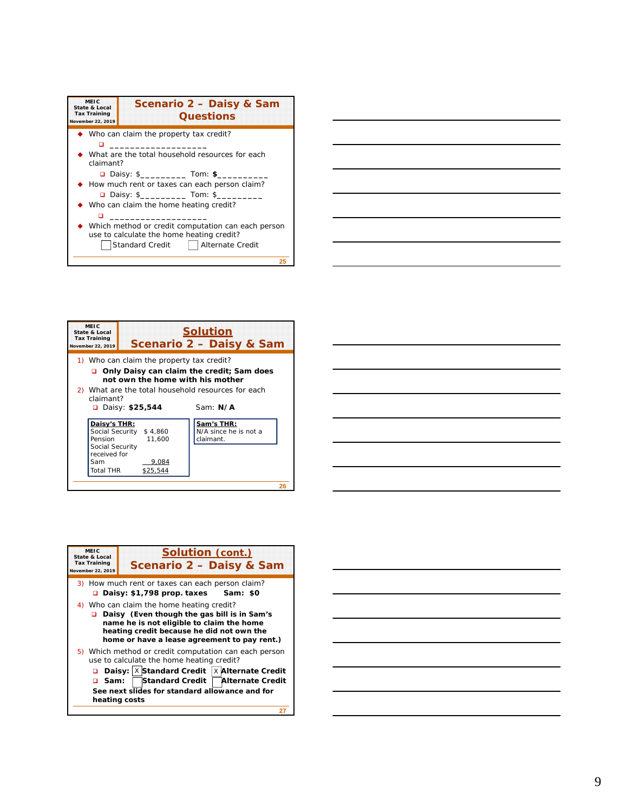